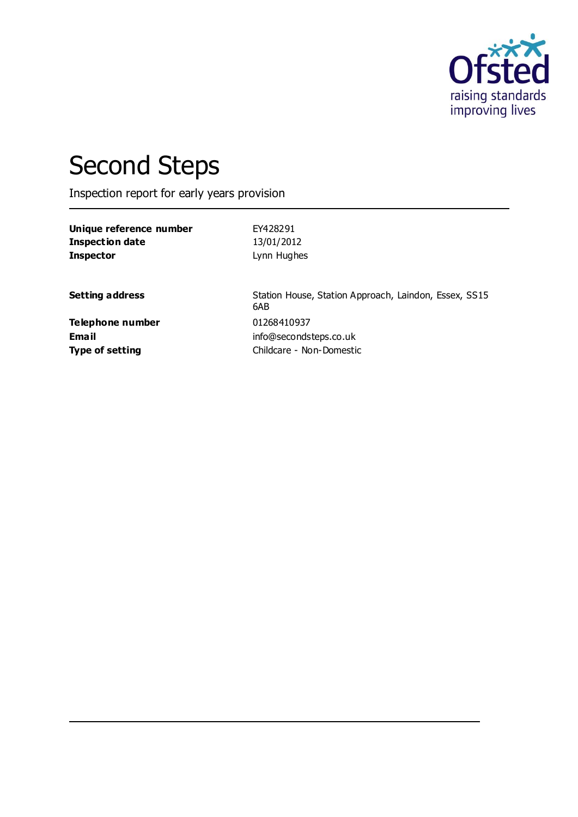

# Second Steps

Inspection report for early years provision

**Unique reference number** EY428291 **Inspection date** 13/01/2012 **Inspector** Lynn Hughes

**Setting address** Station House, Station Approach, Laindon, Essex, SS15 6AB **Email** info@secondsteps.co.uk **Type of setting** Childcare - Non-Domestic

**Telephone number** 01268410937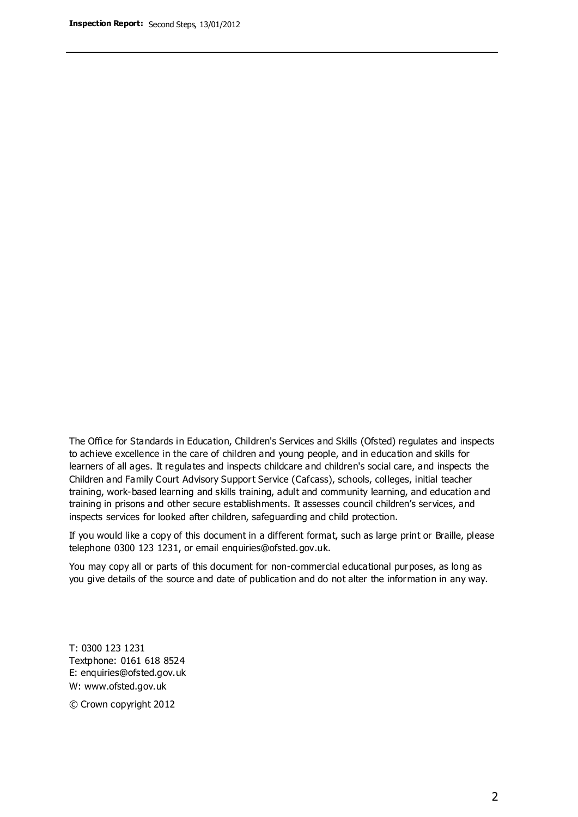The Office for Standards in Education, Children's Services and Skills (Ofsted) regulates and inspects to achieve excellence in the care of children and young people, and in education and skills for learners of all ages. It regulates and inspects childcare and children's social care, and inspects the Children and Family Court Advisory Support Service (Cafcass), schools, colleges, initial teacher training, work-based learning and skills training, adult and community learning, and education and training in prisons and other secure establishments. It assesses council children's services, and inspects services for looked after children, safeguarding and child protection.

If you would like a copy of this document in a different format, such as large print or Braille, please telephone 0300 123 1231, or email enquiries@ofsted.gov.uk.

You may copy all or parts of this document for non-commercial educational purposes, as long as you give details of the source and date of publication and do not alter the information in any way.

T: 0300 123 1231 Textphone: 0161 618 8524 E: enquiries@ofsted.gov.uk W: [www.ofsted.gov.uk](http://www.ofsted.gov.uk/)

© Crown copyright 2012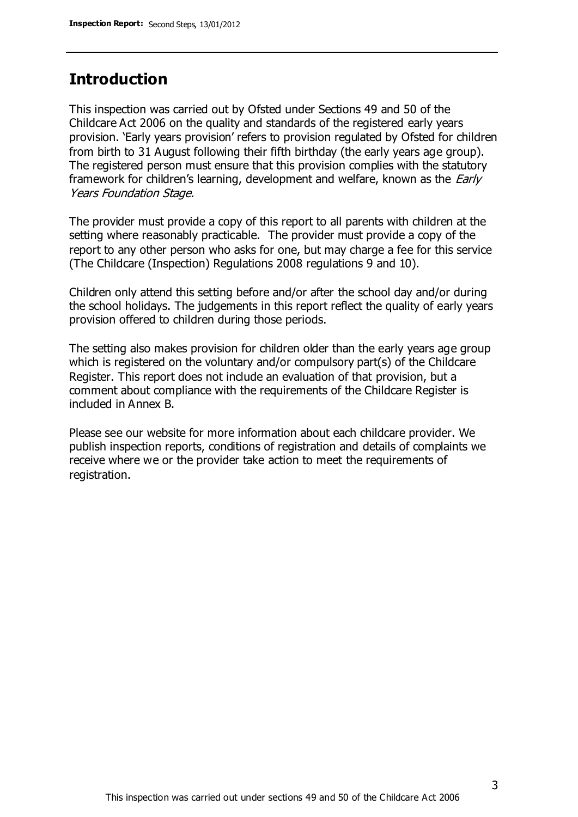### **Introduction**

This inspection was carried out by Ofsted under Sections 49 and 50 of the Childcare Act 2006 on the quality and standards of the registered early years provision. 'Early years provision' refers to provision regulated by Ofsted for children from birth to 31 August following their fifth birthday (the early years age group). The registered person must ensure that this provision complies with the statutory framework for children's learning, development and welfare, known as the *Early* Years Foundation Stage.

The provider must provide a copy of this report to all parents with children at the setting where reasonably practicable. The provider must provide a copy of the report to any other person who asks for one, but may charge a fee for this service (The Childcare (Inspection) Regulations 2008 regulations 9 and 10).

Children only attend this setting before and/or after the school day and/or during the school holidays. The judgements in this report reflect the quality of early years provision offered to children during those periods.

The setting also makes provision for children older than the early years age group which is registered on the voluntary and/or compulsory part(s) of the Childcare Register. This report does not include an evaluation of that provision, but a comment about compliance with the requirements of the Childcare Register is included in Annex B.

Please see our website for more information about each childcare provider. We publish inspection reports, conditions of registration and details of complaints we receive where we or the provider take action to meet the requirements of registration.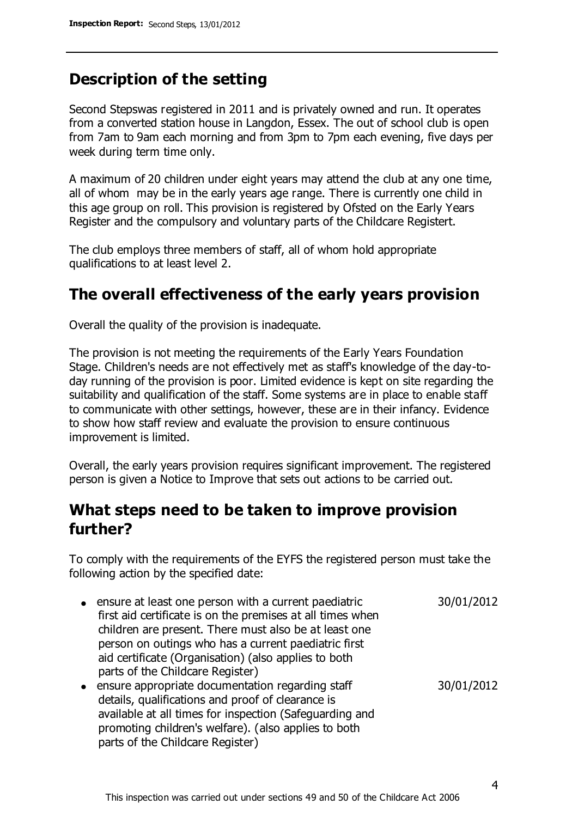### **Description of the setting**

Second Stepswas registered in 2011 and is privately owned and run. It operates from a converted station house in Langdon, Essex. The out of school club is open from 7am to 9am each morning and from 3pm to 7pm each evening, five days per week during term time only.

A maximum of 20 children under eight years may attend the club at any one time, all of whom may be in the early years age range. There is currently one child in this age group on roll. This provision is registered by Ofsted on the Early Years Register and the compulsory and voluntary parts of the Childcare Registert.

The club employs three members of staff, all of whom hold appropriate qualifications to at least level 2.

### **The overall effectiveness of the early years provision**

Overall the quality of the provision is inadequate.

The provision is not meeting the requirements of the Early Years Foundation Stage. Children's needs are not effectively met as staff's knowledge of the day-today running of the provision is poor. Limited evidence is kept on site regarding the suitability and qualification of the staff. Some systems are in place to enable staff to communicate with other settings, however, these are in their infancy. Evidence to show how staff review and evaluate the provision to ensure continuous improvement is limited.

Overall, the early years provision requires significant improvement. The registered person is given a Notice to Improve that sets out actions to be carried out.

### **What steps need to be taken to improve provision further?**

To comply with the requirements of the EYFS the registered person must take the following action by the specified date:

- ensure at least one person with a current paediatric first aid certificate is on the premises at all times when children are present. There must also be at least one person on outings who has a current paediatric first aid certificate (Organisation) (also applies to both parts of the Childcare Register) 30/01/2012 30/01/2012
- ensure appropriate documentation regarding staff details, qualifications and proof of clearance is available at all times for inspection (Safeguarding and promoting children's welfare). (also applies to both parts of the Childcare Register)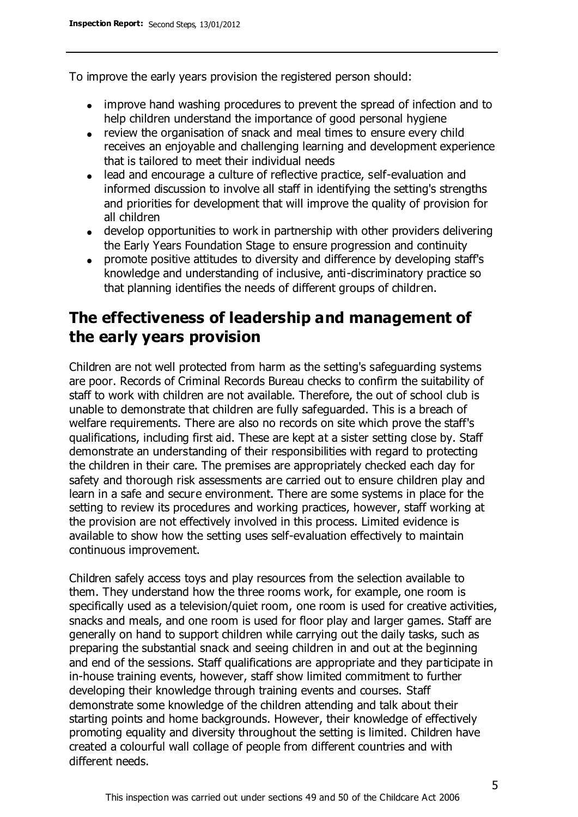To improve the early years provision the registered person should:

- improve hand washing procedures to prevent the spread of infection and to help children understand the importance of good personal hygiene
- review the organisation of snack and meal times to ensure every child receives an enjoyable and challenging learning and development experience that is tailored to meet their individual needs
- lead and encourage a culture of reflective practice, self-evaluation and informed discussion to involve all staff in identifying the setting's strengths and priorities for development that will improve the quality of provision for all children
- develop opportunities to work in partnership with other providers delivering the Early Years Foundation Stage to ensure progression and continuity
- promote positive attitudes to diversity and difference by developing staff's knowledge and understanding of inclusive, anti-discriminatory practice so that planning identifies the needs of different groups of children.

### **The effectiveness of leadership and management of the early years provision**

Children are not well protected from harm as the setting's safeguarding systems are poor. Records of Criminal Records Bureau checks to confirm the suitability of staff to work with children are not available. Therefore, the out of school club is unable to demonstrate that children are fully safeguarded. This is a breach of welfare requirements. There are also no records on site which prove the staff's qualifications, including first aid. These are kept at a sister setting close by. Staff demonstrate an understanding of their responsibilities with regard to protecting the children in their care. The premises are appropriately checked each day for safety and thorough risk assessments are carried out to ensure children play and learn in a safe and secure environment. There are some systems in place for the setting to review its procedures and working practices, however, staff working at the provision are not effectively involved in this process. Limited evidence is available to show how the setting uses self-evaluation effectively to maintain continuous improvement.

Children safely access toys and play resources from the selection available to them. They understand how the three rooms work, for example, one room is specifically used as a television/quiet room, one room is used for creative activities, snacks and meals, and one room is used for floor play and larger games. Staff are generally on hand to support children while carrying out the daily tasks, such as preparing the substantial snack and seeing children in and out at the beginning and end of the sessions. Staff qualifications are appropriate and they participate in in-house training events, however, staff show limited commitment to further developing their knowledge through training events and courses. Staff demonstrate some knowledge of the children attending and talk about their starting points and home backgrounds. However, their knowledge of effectively promoting equality and diversity throughout the setting is limited. Children have created a colourful wall collage of people from different countries and with different needs.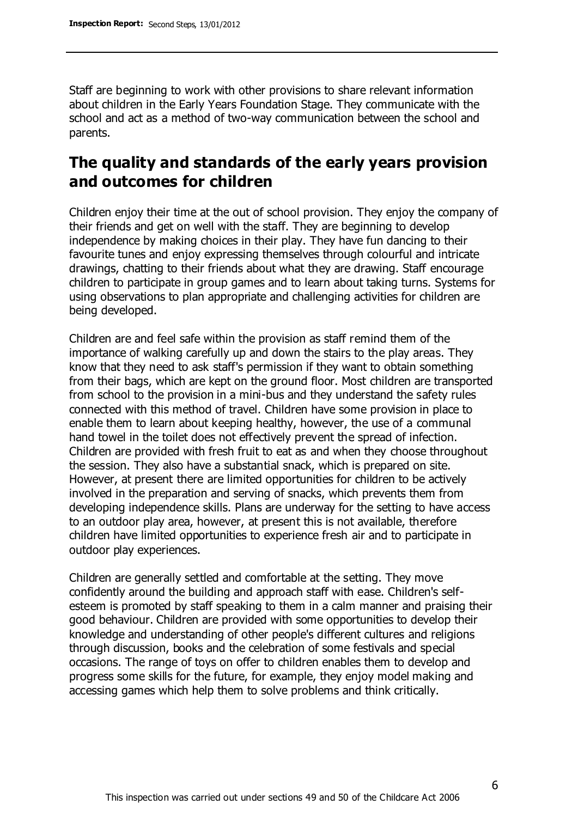Staff are beginning to work with other provisions to share relevant information about children in the Early Years Foundation Stage. They communicate with the school and act as a method of two-way communication between the school and parents.

### **The quality and standards of the early years provision and outcomes for children**

Children enjoy their time at the out of school provision. They enjoy the company of their friends and get on well with the staff. They are beginning to develop independence by making choices in their play. They have fun dancing to their favourite tunes and enjoy expressing themselves through colourful and intricate drawings, chatting to their friends about what they are drawing. Staff encourage children to participate in group games and to learn about taking turns. Systems for using observations to plan appropriate and challenging activities for children are being developed.

Children are and feel safe within the provision as staff remind them of the importance of walking carefully up and down the stairs to the play areas. They know that they need to ask staff's permission if they want to obtain something from their bags, which are kept on the ground floor. Most children are transported from school to the provision in a mini-bus and they understand the safety rules connected with this method of travel. Children have some provision in place to enable them to learn about keeping healthy, however, the use of a communal hand towel in the toilet does not effectively prevent the spread of infection. Children are provided with fresh fruit to eat as and when they choose throughout the session. They also have a substantial snack, which is prepared on site. However, at present there are limited opportunities for children to be actively involved in the preparation and serving of snacks, which prevents them from developing independence skills. Plans are underway for the setting to have access to an outdoor play area, however, at present this is not available, therefore children have limited opportunities to experience fresh air and to participate in outdoor play experiences.

Children are generally settled and comfortable at the setting. They move confidently around the building and approach staff with ease. Children's selfesteem is promoted by staff speaking to them in a calm manner and praising their good behaviour. Children are provided with some opportunities to develop their knowledge and understanding of other people's different cultures and religions through discussion, books and the celebration of some festivals and special occasions. The range of toys on offer to children enables them to develop and progress some skills for the future, for example, they enjoy model making and accessing games which help them to solve problems and think critically.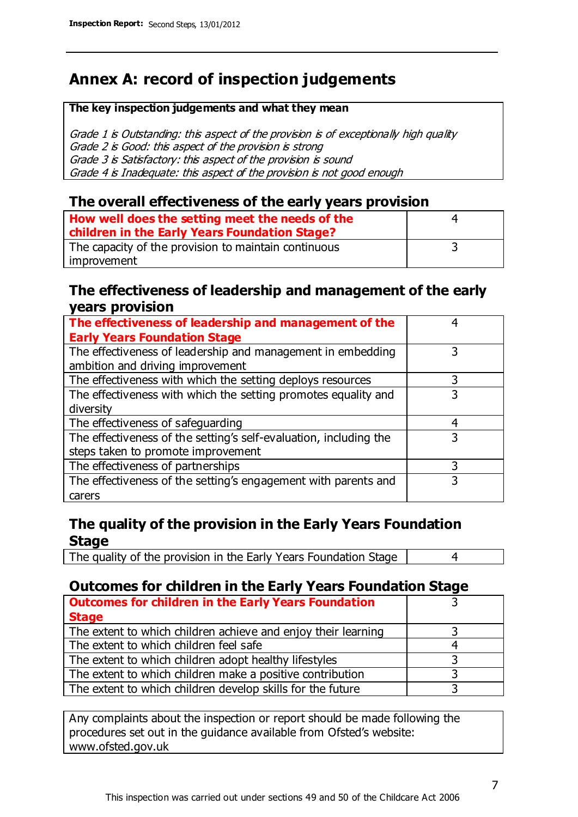## **Annex A: record of inspection judgements**

#### **The key inspection judgements and what they mean**

Grade 1 is Outstanding: this aspect of the provision is of exceptionally high quality Grade 2 is Good: this aspect of the provision is strong Grade 3 is Satisfactory: this aspect of the provision is sound Grade 4 is Inadequate: this aspect of the provision is not good enough

#### **The overall effectiveness of the early years provision**

| How well does the setting meet the needs of the      | 4 |
|------------------------------------------------------|---|
| children in the Early Years Foundation Stage?        |   |
| The capacity of the provision to maintain continuous |   |
| improvement                                          |   |

#### **The effectiveness of leadership and management of the early years provision**

| The effectiveness of leadership and management of the                                           |   |
|-------------------------------------------------------------------------------------------------|---|
| <b>Early Years Foundation Stage</b>                                                             |   |
| The effectiveness of leadership and management in embedding<br>ambition and driving improvement | 3 |
|                                                                                                 |   |
| The effectiveness with which the setting deploys resources                                      | 3 |
| The effectiveness with which the setting promotes equality and                                  | 3 |
| diversity                                                                                       |   |
| The effectiveness of safeguarding                                                               | 4 |
| The effectiveness of the setting's self-evaluation, including the                               | 3 |
| steps taken to promote improvement                                                              |   |
| The effectiveness of partnerships                                                               | 3 |
| The effectiveness of the setting's engagement with parents and                                  |   |
| carers                                                                                          |   |

#### **The quality of the provision in the Early Years Foundation Stage**

The quality of the provision in the Early Years Foundation Stage | 4

#### **Outcomes for children in the Early Years Foundation Stage**

| <b>Outcomes for children in the Early Years Foundation</b>    |  |
|---------------------------------------------------------------|--|
| <b>Stage</b>                                                  |  |
| The extent to which children achieve and enjoy their learning |  |
| The extent to which children feel safe                        |  |
| The extent to which children adopt healthy lifestyles         |  |
| The extent to which children make a positive contribution     |  |
| The extent to which children develop skills for the future    |  |

Any complaints about the inspection or report should be made following the procedures set out in the guidance available from Ofsted's website: www.ofsted.gov.uk